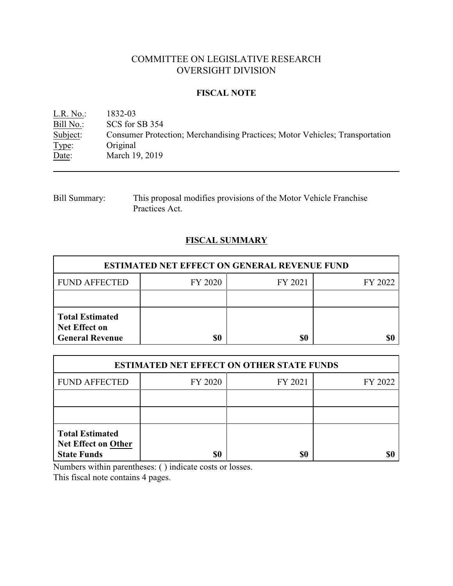# COMMITTEE ON LEGISLATIVE RESEARCH OVERSIGHT DIVISION

### **FISCAL NOTE**

<u>L.R. No.:</u> 1832-03<br>Bill No.: SCS for : Bill No.: SCS for SB 354<br>Subject: Consumer Prote Subject: Consumer Protection; Merchandising Practices; Motor Vehicles; Transportation Type: Original Type: Original<br>Date: March 19 March 19, 2019

| <b>Bill Summary:</b> | This proposal modifies provisions of the Motor Vehicle Franchise |
|----------------------|------------------------------------------------------------------|
|                      | Practices Act.                                                   |

## **FISCAL SUMMARY**

| <b>ESTIMATED NET EFFECT ON GENERAL REVENUE FUND</b>                      |         |         |         |  |
|--------------------------------------------------------------------------|---------|---------|---------|--|
| <b>FUND AFFECTED</b>                                                     | FY 2020 | FY 2021 | FY 2022 |  |
|                                                                          |         |         |         |  |
| <b>Total Estimated</b><br><b>Net Effect on</b><br><b>General Revenue</b> | \$0     | \$0     |         |  |

| <b>ESTIMATED NET EFFECT ON OTHER STATE FUNDS</b>                           |         |         |         |  |
|----------------------------------------------------------------------------|---------|---------|---------|--|
| <b>FUND AFFECTED</b>                                                       | FY 2020 | FY 2021 | FY 2022 |  |
|                                                                            |         |         |         |  |
|                                                                            |         |         |         |  |
| <b>Total Estimated</b><br><b>Net Effect on Other</b><br><b>State Funds</b> | \$0     | \$0     |         |  |

Numbers within parentheses: ( ) indicate costs or losses.

This fiscal note contains 4 pages.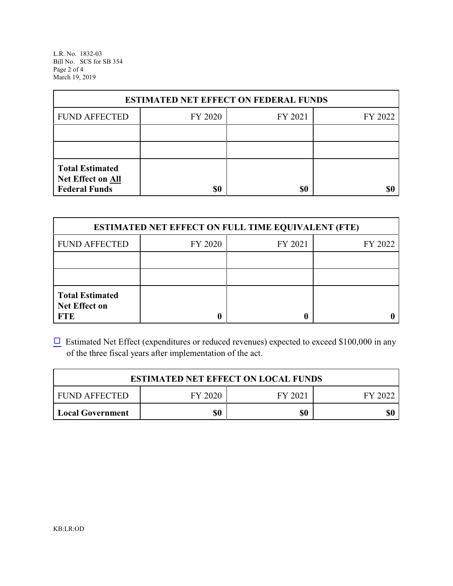L.R. No. 1832-03 Bill No. SCS for SB 354 Page 2 of 4 March 19, 2019

| <b>ESTIMATED NET EFFECT ON FEDERAL FUNDS</b>                        |         |         |         |  |
|---------------------------------------------------------------------|---------|---------|---------|--|
| <b>FUND AFFECTED</b>                                                | FY 2020 | FY 2021 | FY 2022 |  |
|                                                                     |         |         |         |  |
|                                                                     |         |         |         |  |
| <b>Total Estimated</b><br>Net Effect on All<br><b>Federal Funds</b> | \$0     | \$0     |         |  |

| <b>ESTIMATED NET EFFECT ON FULL TIME EQUIVALENT (FTE)</b>    |         |         |         |  |
|--------------------------------------------------------------|---------|---------|---------|--|
| <b>FUND AFFECTED</b>                                         | FY 2020 | FY 2021 | FY 2022 |  |
|                                                              |         |         |         |  |
|                                                              |         |         |         |  |
| <b>Total Estimated</b><br><b>Net Effect on</b><br><b>FTE</b> |         |         |         |  |

 $\Box$  Estimated Net Effect (expenditures or reduced revenues) expected to exceed \$100,000 in any of the three fiscal years after implementation of the act.

| <b>ESTIMATED NET EFFECT ON LOCAL FUNDS</b> |         |         |         |
|--------------------------------------------|---------|---------|---------|
| FUND AFFECTED                              | FY 2020 | FY 2021 | FY 2022 |
| Local Government                           | \$0     | \$0     | \$0     |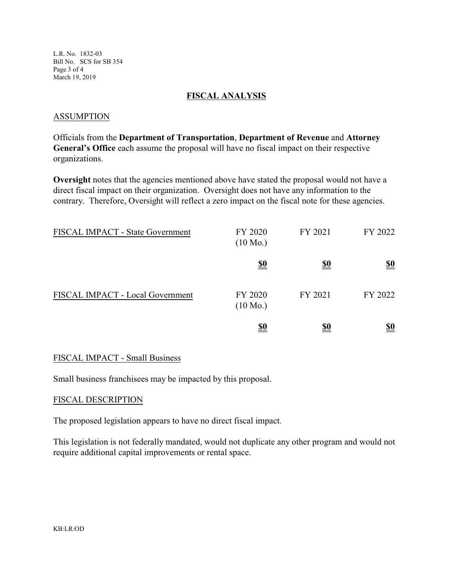L.R. No. 1832-03 Bill No. SCS for SB 354 Page 3 of 4 March 19, 2019

### **FISCAL ANALYSIS**

### ASSUMPTION

Officials from the **Department of Transportation**, **Department of Revenue** and **Attorney General's Office** each assume the proposal will have no fiscal impact on their respective organizations.

**Oversight** notes that the agencies mentioned above have stated the proposal would not have a direct fiscal impact on their organization. Oversight does not have any information to the contrary. Therefore, Oversight will reflect a zero impact on the fiscal note for these agencies.

| FISCAL IMPACT - State Government | FY 2020<br>$(10 \text{ Mo.})$ | FY 2021    | FY 2022    |
|----------------------------------|-------------------------------|------------|------------|
|                                  | <u>\$0</u>                    | <u>\$0</u> | <u>\$0</u> |
| FISCAL IMPACT - Local Government | FY 2020<br>$(10 \text{ Mo.})$ | FY 2021    | FY 2022    |
|                                  | <u>\$0</u>                    | \$0        | <u>\$0</u> |

#### FISCAL IMPACT - Small Business

Small business franchisees may be impacted by this proposal.

#### FISCAL DESCRIPTION

The proposed legislation appears to have no direct fiscal impact.

This legislation is not federally mandated, would not duplicate any other program and would not require additional capital improvements or rental space.